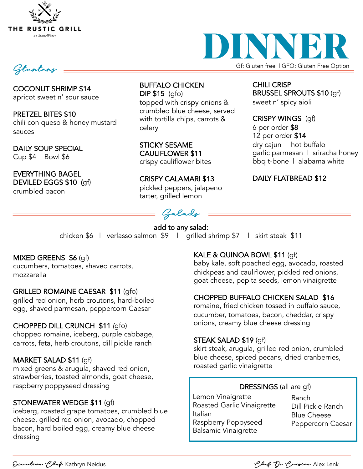

Starters

COCONUT SHRIMP \$14 apricot sweet n' sour sauce

PRETZEL BITES \$10 chili con queso & honey mustard sauces

DAILY SOUP SPECIAL Cup \$4 Bowl \$6

EVERYTHING BAGEL DEVILED EGGS \$10 (gf) crumbled bacon

BUFFALO CHICKEN DIP \$15 (gfo) topped with crispy onions & crumbled blue cheese, served with tortilla chips, carrots & celery

STICKY SESAME CAULIFLOWER \$11 crispy cauliflower bites

CRISPY CALAMARI \$13 pickled peppers, jalapeno tarter, grilled lemon

Salads

add to any salad: chicken \$6 | verlasso salmon \$9 | grilled shrimp \$7 | skirt steak \$11

### MIXED GREENS \$6 (gf)

cucumbers, tomatoes, shaved carrots, mozzarella

#### GRILLED ROMAINE CAESAR \$11 (gfo)

grilled red onion, herb croutons, hard-boiled egg, shaved parmesan, peppercorn Caesar

#### CHOPPED DILL CRUNCH \$11 *(*gfo)

chopped romaine, iceberg, purple cabbage, carrots, feta, herb croutons, dill pickle ranch

### MARKET SALAD \$11 (gf)

mixed greens & arugula, shaved red onion, strawberries, toasted almonds, goat cheese, raspberry poppyseed dressing

#### STONEWATER WEDGE \$11 (gf)

iceberg, roasted grape tomatoes, crumbled blue cheese, grilled red onion, avocado, chopped bacon, hard boiled egg, creamy blue cheese dressing

### KALE & QUINOA BOWL \$11 (gf)

baby kale, soft poached egg, avocado, roasted chickpeas and cauliflower, pickled red onions, goat cheese, pepita seeds, lemon vinaigrette

### CHOPPED BUFFALO CHICKEN SALAD \$16

romaine, fried chicken tossed in buffalo sauce, cucumber, tomatoes, bacon, cheddar, crispy onions, creamy blue cheese dressing

#### STEAK SALAD \$19 (gf)

skirt steak, arugula, grilled red onion, crumbled blue cheese, spiced pecans, dried cranberries, roasted garlic vinaigrette

#### DRESSINGS (all are gf)

Lemon Vinaigrette Roasted Garlic Vinaigrette Italian Raspberry Poppyseed Balsamic Vinaigrette

Ranch Dill Pickle Ranch Blue Cheese Peppercorn Caesar

Executive Chef Kathryn Neidus Chef De Cuisine Alex Lenk



CHILI CRISP

sweet n' spicy aioli

CRISPY WINGS (gf)

dry cajun | hot buffalo

DAILY FLATBREAD \$12

garlic parmesan | sriracha honey bbq t-bone | alabama white

6 per order \$8 12 per order \$14

Gf: Gluten free | GFO: Gluten Free Option

BRUSSEL SPROUTS \$10 (gf)